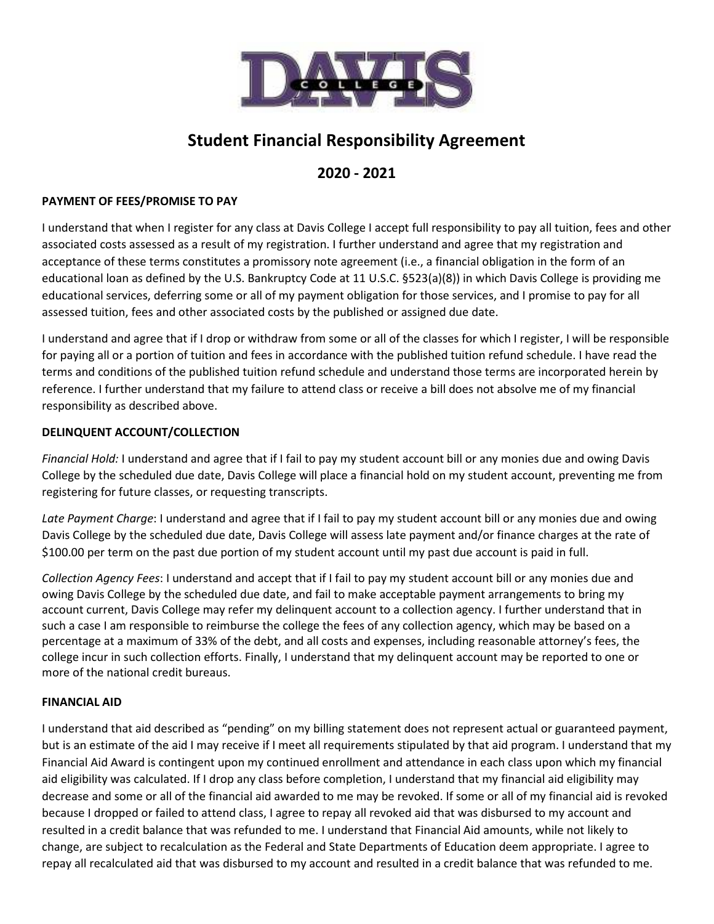

# **Student Financial Responsibility Agreement**

# **2020 - 2021**

# **PAYMENT OF FEES/PROMISE TO PAY**

I understand that when I register for any class at Davis College I accept full responsibility to pay all tuition, fees and other associated costs assessed as a result of my registration. I further understand and agree that my registration and acceptance of these terms constitutes a promissory note agreement (i.e., a financial obligation in the form of an educational loan as defined by the U.S. Bankruptcy Code at 11 U.S.C. §523(a)(8)) in which Davis College is providing me educational services, deferring some or all of my payment obligation for those services, and I promise to pay for all assessed tuition, fees and other associated costs by the published or assigned due date.

I understand and agree that if I drop or withdraw from some or all of the classes for which I register, I will be responsible for paying all or a portion of tuition and fees in accordance with the published tuition refund schedule. I have read the terms and conditions of the published tuition refund schedule and understand those terms are incorporated herein by reference. I further understand that my failure to attend class or receive a bill does not absolve me of my financial responsibility as described above.

# **DELINQUENT ACCOUNT/COLLECTION**

*Financial Hold:* I understand and agree that if I fail to pay my student account bill or any monies due and owing Davis College by the scheduled due date, Davis College will place a financial hold on my student account, preventing me from registering for future classes, or requesting transcripts.

*Late Payment Charge*: I understand and agree that if I fail to pay my student account bill or any monies due and owing Davis College by the scheduled due date, Davis College will assess late payment and/or finance charges at the rate of \$100.00 per term on the past due portion of my student account until my past due account is paid in full.

*Collection Agency Fees*: I understand and accept that if I fail to pay my student account bill or any monies due and owing Davis College by the scheduled due date, and fail to make acceptable payment arrangements to bring my account current, Davis College may refer my delinquent account to a collection agency. I further understand that in such a case I am responsible to reimburse the college the fees of any collection agency, which may be based on a percentage at a maximum of 33% of the debt, and all costs and expenses, including reasonable attorney's fees, the college incur in such collection efforts. Finally, I understand that my delinquent account may be reported to one or more of the national credit bureaus.

### **FINANCIAL AID**

I understand that aid described as "pending" on my billing statement does not represent actual or guaranteed payment, but is an estimate of the aid I may receive if I meet all requirements stipulated by that aid program. I understand that my Financial Aid Award is contingent upon my continued enrollment and attendance in each class upon which my financial aid eligibility was calculated. If I drop any class before completion, I understand that my financial aid eligibility may decrease and some or all of the financial aid awarded to me may be revoked. If some or all of my financial aid is revoked because I dropped or failed to attend class, I agree to repay all revoked aid that was disbursed to my account and resulted in a credit balance that was refunded to me. I understand that Financial Aid amounts, while not likely to change, are subject to recalculation as the Federal and State Departments of Education deem appropriate. I agree to repay all recalculated aid that was disbursed to my account and resulted in a credit balance that was refunded to me.